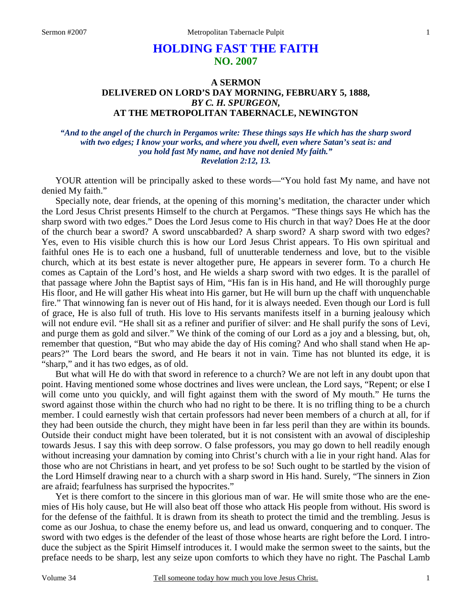# **HOLDING FAST THE FAITH NO. 2007**

# **A SERMON DELIVERED ON LORD'S DAY MORNING, FEBRUARY 5, 1888,**  *BY C. H. SPURGEON,*  **AT THE METROPOLITAN TABERNACLE, NEWINGTON**

### *"And to the angel of the church in Pergamos write: These things says He which has the sharp sword with two edges; I know your works, and where you dwell, even where Satan's seat is: and you hold fast My name, and have not denied My faith." Revelation 2:12, 13.*

YOUR attention will be principally asked to these words—"You hold fast My name, and have not denied My faith."

Specially note, dear friends, at the opening of this morning's meditation, the character under which the Lord Jesus Christ presents Himself to the church at Pergamos. "These things says He which has the sharp sword with two edges." Does the Lord Jesus come to His church in that way? Does He at the door of the church bear a sword? A sword unscabbarded? A sharp sword? A sharp sword with two edges? Yes, even to His visible church this is how our Lord Jesus Christ appears. To His own spiritual and faithful ones He is to each one a husband, full of unutterable tenderness and love, but to the visible church, which at its best estate is never altogether pure, He appears in severer form. To a church He comes as Captain of the Lord's host, and He wields a sharp sword with two edges. It is the parallel of that passage where John the Baptist says of Him, "His fan is in His hand, and He will thoroughly purge His floor, and He will gather His wheat into His garner, but He will burn up the chaff with unquenchable fire." That winnowing fan is never out of His hand, for it is always needed. Even though our Lord is full of grace, He is also full of truth. His love to His servants manifests itself in a burning jealousy which will not endure evil. "He shall sit as a refiner and purifier of silver: and He shall purify the sons of Levi, and purge them as gold and silver." We think of the coming of our Lord as a joy and a blessing, but, oh, remember that question, "But who may abide the day of His coming? And who shall stand when He appears?" The Lord bears the sword, and He bears it not in vain. Time has not blunted its edge, it is "sharp," and it has two edges, as of old.

But what will He do with that sword in reference to a church? We are not left in any doubt upon that point. Having mentioned some whose doctrines and lives were unclean, the Lord says, "Repent; or else I will come unto you quickly, and will fight against them with the sword of My mouth." He turns the sword against those within the church who had no right to be there. It is no trifling thing to be a church member. I could earnestly wish that certain professors had never been members of a church at all, for if they had been outside the church, they might have been in far less peril than they are within its bounds. Outside their conduct might have been tolerated, but it is not consistent with an avowal of discipleship towards Jesus. I say this with deep sorrow. O false professors, you may go down to hell readily enough without increasing your damnation by coming into Christ's church with a lie in your right hand. Alas for those who are not Christians in heart, and yet profess to be so! Such ought to be startled by the vision of the Lord Himself drawing near to a church with a sharp sword in His hand. Surely, "The sinners in Zion are afraid; fearfulness has surprised the hypocrites."

Yet is there comfort to the sincere in this glorious man of war. He will smite those who are the enemies of His holy cause, but He will also beat off those who attack His people from without. His sword is for the defense of the faithful. It is drawn from its sheath to protect the timid and the trembling. Jesus is come as our Joshua, to chase the enemy before us, and lead us onward, conquering and to conquer. The sword with two edges is the defender of the least of those whose hearts are right before the Lord. I introduce the subject as the Spirit Himself introduces it. I would make the sermon sweet to the saints, but the preface needs to be sharp, lest any seize upon comforts to which they have no right. The Paschal Lamb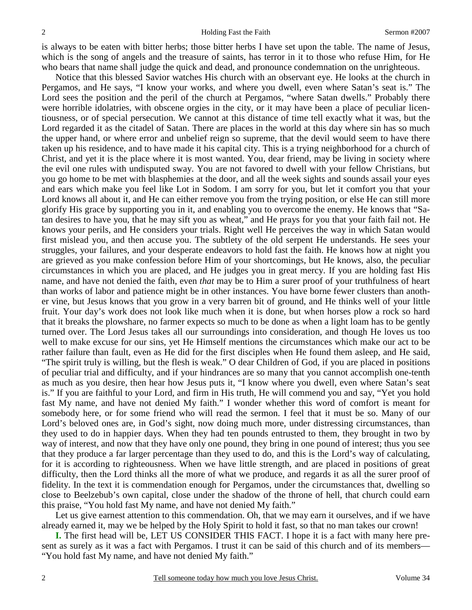is always to be eaten with bitter herbs; those bitter herbs I have set upon the table. The name of Jesus, which is the song of angels and the treasure of saints, has terror in it to those who refuse Him, for He who bears that name shall judge the quick and dead, and pronounce condemnation on the unrighteous.

Notice that this blessed Savior watches His church with an observant eye. He looks at the church in Pergamos, and He says, "I know your works, and where you dwell, even where Satan's seat is." The Lord sees the position and the peril of the church at Pergamos, "where Satan dwells." Probably there were horrible idolatries, with obscene orgies in the city, or it may have been a place of peculiar licentiousness, or of special persecution. We cannot at this distance of time tell exactly what it was, but the Lord regarded it as the citadel of Satan. There are places in the world at this day where sin has so much the upper hand, or where error and unbelief reign so supreme, that the devil would seem to have there taken up his residence, and to have made it his capital city. This is a trying neighborhood for a church of Christ, and yet it is the place where it is most wanted. You, dear friend, may be living in society where the evil one rules with undisputed sway. You are not favored to dwell with your fellow Christians, but you go home to be met with blasphemies at the door, and all the week sights and sounds assail your eyes and ears which make you feel like Lot in Sodom. I am sorry for you, but let it comfort you that your Lord knows all about it, and He can either remove you from the trying position, or else He can still more glorify His grace by supporting you in it, and enabling you to overcome the enemy. He knows that "Satan desires to have you, that he may sift you as wheat," and He prays for you that your faith fail not. He knows your perils, and He considers your trials. Right well He perceives the way in which Satan would first mislead you, and then accuse you. The subtlety of the old serpent He understands. He sees your struggles, your failures, and your desperate endeavors to hold fast the faith. He knows how at night you are grieved as you make confession before Him of your shortcomings, but He knows, also, the peculiar circumstances in which you are placed, and He judges you in great mercy. If you are holding fast His name, and have not denied the faith, even *that* may be to Him a surer proof of your truthfulness of heart than works of labor and patience might be in other instances. You have borne fewer clusters than another vine, but Jesus knows that you grow in a very barren bit of ground, and He thinks well of your little fruit. Your day's work does not look like much when it is done, but when horses plow a rock so hard that it breaks the plowshare, no farmer expects so much to be done as when a light loam has to be gently turned over. The Lord Jesus takes all our surroundings into consideration, and though He loves us too well to make excuse for our sins, yet He Himself mentions the circumstances which make our act to be rather failure than fault, even as He did for the first disciples when He found them asleep, and He said, "The spirit truly is willing, but the flesh is weak." O dear Children of God, if you are placed in positions of peculiar trial and difficulty, and if your hindrances are so many that you cannot accomplish one-tenth as much as you desire, then hear how Jesus puts it, "I know where you dwell, even where Satan's seat is." If you are faithful to your Lord, and firm in His truth, He will commend you and say, "Yet you hold fast My name, and have not denied My faith." I wonder whether this word of comfort is meant for somebody here, or for some friend who will read the sermon. I feel that it must be so. Many of our Lord's beloved ones are, in God's sight, now doing much more, under distressing circumstances, than they used to do in happier days. When they had ten pounds entrusted to them, they brought in two by way of interest, and now that they have only one pound, they bring in one pound of interest; thus you see that they produce a far larger percentage than they used to do, and this is the Lord's way of calculating, for it is according to righteousness. When we have little strength, and are placed in positions of great difficulty, then the Lord thinks all the more of what we produce, and regards it as all the surer proof of fidelity. In the text it is commendation enough for Pergamos, under the circumstances that, dwelling so close to Beelzebub's own capital, close under the shadow of the throne of hell, that church could earn this praise, "You hold fast My name, and have not denied My faith."

Let us give earnest attention to this commendation. Oh, that we may earn it ourselves, and if we have already earned it, may we be helped by the Holy Spirit to hold it fast, so that no man takes our crown!

**I.** The first head will be, LET US CONSIDER THIS FACT. I hope it is a fact with many here present as surely as it was a fact with Pergamos. I trust it can be said of this church and of its members— "You hold fast My name, and have not denied My faith."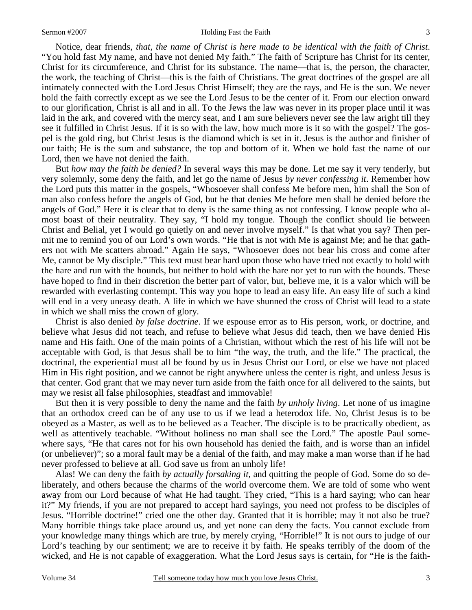#### Sermon #2007 Holding Fast the Faith

Notice, dear friends, *that, the name of Christ is here made to be identical with the faith of Christ*. "You hold fast My name, and have not denied My faith." The faith of Scripture has Christ for its center, Christ for its circumference, and Christ for its substance. The name—that is, the person, the character, the work, the teaching of Christ—this is the faith of Christians. The great doctrines of the gospel are all intimately connected with the Lord Jesus Christ Himself; they are the rays, and He is the sun. We never hold the faith correctly except as we see the Lord Jesus to be the center of it. From our election onward to our glorification, Christ is all and in all. To the Jews the law was never in its proper place until it was laid in the ark, and covered with the mercy seat, and I am sure believers never see the law aright till they see it fulfilled in Christ Jesus. If it is so with the law, how much more is it so with the gospel? The gospel is the gold ring, but Christ Jesus is the diamond which is set in it. Jesus is the author and finisher of our faith; He is the sum and substance, the top and bottom of it. When we hold fast the name of our Lord, then we have not denied the faith.

But *how may the faith be denied?* In several ways this may be done. Let me say it very tenderly, but very solemnly, some deny the faith, and let go the name of Jesus *by never confessing it*. Remember how the Lord puts this matter in the gospels, "Whosoever shall confess Me before men, him shall the Son of man also confess before the angels of God, but he that denies Me before men shall be denied before the angels of God." Here it is clear that to deny is the same thing as not confessing. I know people who almost boast of their neutrality. They say, "I hold my tongue. Though the conflict should lie between Christ and Belial, yet I would go quietly on and never involve myself." Is that what you say? Then permit me to remind you of our Lord's own words. "He that is not with Me is against Me; and he that gathers not with Me scatters abroad." Again He says, "Whosoever does not bear his cross and come after Me, cannot be My disciple." This text must bear hard upon those who have tried not exactly to hold with the hare and run with the hounds, but neither to hold with the hare nor yet to run with the hounds. These have hoped to find in their discretion the better part of valor, but, believe me, it is a valor which will be rewarded with everlasting contempt. This way you hope to lead an easy life. An easy life of such a kind will end in a very uneasy death. A life in which we have shunned the cross of Christ will lead to a state in which we shall miss the crown of glory.

Christ is also denied *by false doctrine*. If we espouse error as to His person, work, or doctrine, and believe what Jesus did not teach, and refuse to believe what Jesus did teach, then we have denied His name and His faith. One of the main points of a Christian, without which the rest of his life will not be acceptable with God, is that Jesus shall be to him "the way, the truth, and the life." The practical, the doctrinal, the experiential must all be found by us in Jesus Christ our Lord, or else we have not placed Him in His right position, and we cannot be right anywhere unless the center is right, and unless Jesus is that center. God grant that we may never turn aside from the faith once for all delivered to the saints, but may we resist all false philosophies, steadfast and immovable!

But then it is very possible to deny the name and the faith *by unholy living*. Let none of us imagine that an orthodox creed can be of any use to us if we lead a heterodox life. No, Christ Jesus is to be obeyed as a Master, as well as to be believed as a Teacher. The disciple is to be practically obedient, as well as attentively teachable. "Without holiness no man shall see the Lord." The apostle Paul somewhere says, "He that cares not for his own household has denied the faith, and is worse than an infidel (or unbeliever)"; so a moral fault may be a denial of the faith, and may make a man worse than if he had never professed to believe at all. God save us from an unholy life!

Alas! We can deny the faith *by actually forsaking it,* and quitting the people of God. Some do so deliberately, and others because the charms of the world overcome them. We are told of some who went away from our Lord because of what He had taught. They cried, "This is a hard saying; who can hear it?" My friends, if you are not prepared to accept hard sayings, you need not profess to be disciples of Jesus. "Horrible doctrine!" cried one the other day. Granted that it is horrible; may it not also be true? Many horrible things take place around us, and yet none can deny the facts. You cannot exclude from your knowledge many things which are true, by merely crying, "Horrible!" It is not ours to judge of our Lord's teaching by our sentiment; we are to receive it by faith. He speaks terribly of the doom of the wicked, and He is not capable of exaggeration. What the Lord Jesus says is certain, for "He is the faith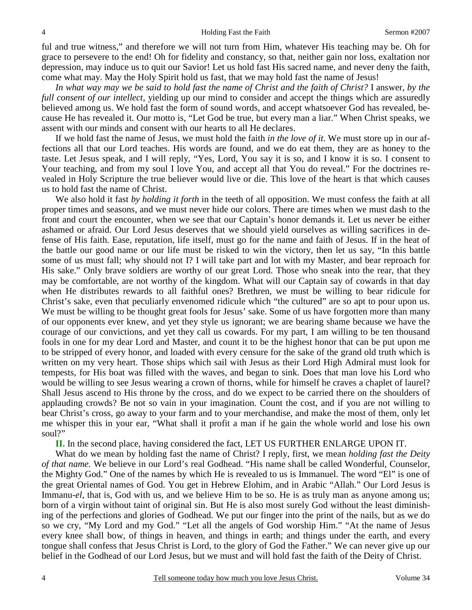ful and true witness," and therefore we will not turn from Him, whatever His teaching may be. Oh for grace to persevere to the end! Oh for fidelity and constancy, so that, neither gain nor loss, exaltation nor depression, may induce us to quit our Savior! Let us hold fast His sacred name, and never deny the faith, come what may. May the Holy Spirit hold us fast, that we may hold fast the name of Jesus!

*In what way may we be said to hold fast the name of Christ and the faith of Christ?* I answer, *by the full consent of our intellect,* yielding up our mind to consider and accept the things which are assuredly believed among us. We hold fast the form of sound words, and accept whatsoever God has revealed, because He has revealed it. Our motto is, "Let God be true, but every man a liar." When Christ speaks, we assent with our minds and consent with our hearts to all He declares.

If we hold fast the name of Jesus, we must hold the faith *in the love of it.* We must store up in our affections all that our Lord teaches. His words are found, and we do eat them, they are as honey to the taste. Let Jesus speak, and I will reply, "Yes, Lord, You say it is so, and I know it is so. I consent to Your teaching, and from my soul I love You, and accept all that You do reveal." For the doctrines revealed in Holy Scripture the true believer would live or die. This love of the heart is that which causes us to hold fast the name of Christ.

We also hold it fast *by holding it forth* in the teeth of all opposition. We must confess the faith at all proper times and seasons, and we must never hide our colors. There are times when we must dash to the front and court the encounter, when we see that our Captain's honor demands it. Let us never be either ashamed or afraid. Our Lord Jesus deserves that we should yield ourselves as willing sacrifices in defense of His faith. Ease, reputation, life itself, must go for the name and faith of Jesus. If in the heat of the battle our good name or our life must be risked to win the victory, then let us say, "In this battle some of us must fall; why should not I? I will take part and lot with my Master, and bear reproach for His sake." Only brave soldiers are worthy of our great Lord. Those who sneak into the rear, that they may be comfortable, are not worthy of the kingdom. What will our Captain say of cowards in that day when He distributes rewards to all faithful ones? Brethren, we must be willing to bear ridicule for Christ's sake, even that peculiarly envenomed ridicule which "the cultured" are so apt to pour upon us. We must be willing to be thought great fools for Jesus' sake. Some of us have forgotten more than many of our opponents ever knew, and yet they style us ignorant; we are bearing shame because we have the courage of our convictions, and yet they call us cowards. For my part, I am willing to be ten thousand fools in one for my dear Lord and Master, and count it to be the highest honor that can be put upon me to be stripped of every honor, and loaded with every censure for the sake of the grand old truth which is written on my very heart. Those ships which sail with Jesus as their Lord High Admiral must look for tempests, for His boat was filled with the waves, and began to sink. Does that man love his Lord who would be willing to see Jesus wearing a crown of thorns, while for himself he craves a chaplet of laurel? Shall Jesus ascend to His throne by the cross, and do we expect to be carried there on the shoulders of applauding crowds? Be not so vain in your imagination. Count the cost, and if you are not willing to bear Christ's cross, go away to your farm and to your merchandise, and make the most of them, only let me whisper this in your ear, "What shall it profit a man if he gain the whole world and lose his own soul?"

**II.** In the second place, having considered the fact, LET US FURTHER ENLARGE UPON IT.

What do we mean by holding fast the name of Christ? I reply, first, we mean *holding fast the Deity of that name.* We believe in our Lord's real Godhead. "His name shall be called Wonderful, Counselor, the Mighty God." One of the names by which He is revealed to us is Immanuel. The word "El" is one of the great Oriental names of God. You get in Hebrew Elohim, and in Arabic "Allah." Our Lord Jesus is Immanu*-el,* that is, God with us, and we believe Him to be so. He is as truly man as anyone among us; born of a virgin without taint of original sin. But He is also most surely God without the least diminishing of the perfections and glories of Godhead. We put our finger into the print of the nails, but as we do so we cry, "My Lord and my God." "Let all the angels of God worship Him." "At the name of Jesus every knee shall bow, of things in heaven, and things in earth; and things under the earth, and every tongue shall confess that Jesus Christ is Lord, to the glory of God the Father." We can never give up our belief in the Godhead of our Lord Jesus, but we must and will hold fast the faith of the Deity of Christ.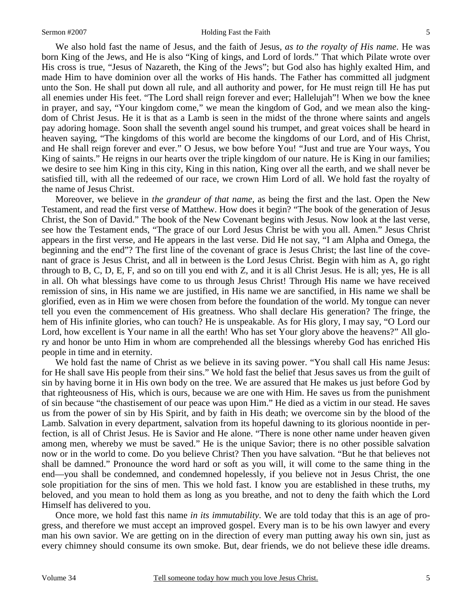#### Sermon #2007 Holding Fast the Faith

5

We also hold fast the name of Jesus, and the faith of Jesus, *as to the royalty of His name*. He was born King of the Jews, and He is also "King of kings, and Lord of lords." That which Pilate wrote over His cross is true, "Jesus of Nazareth, the King of the Jews"; but God also has highly exalted Him, and made Him to have dominion over all the works of His hands. The Father has committed all judgment unto the Son. He shall put down all rule, and all authority and power, for He must reign till He has put all enemies under His feet. "The Lord shall reign forever and ever; Hallelujah"! When we bow the knee in prayer, and say, "Your kingdom come," we mean the kingdom of God, and we mean also the kingdom of Christ Jesus. He it is that as a Lamb is seen in the midst of the throne where saints and angels pay adoring homage. Soon shall the seventh angel sound his trumpet, and great voices shall be heard in heaven saying, "The kingdoms of this world are become the kingdoms of our Lord, and of His Christ, and He shall reign forever and ever." O Jesus, we bow before You! "Just and true are Your ways, You King of saints." He reigns in our hearts over the triple kingdom of our nature. He is King in our families; we desire to see him King in this city, King in this nation, King over all the earth, and we shall never be satisfied till, with all the redeemed of our race, we crown Him Lord of all. We hold fast the royalty of the name of Jesus Christ.

Moreover, we believe in *the grandeur of that name,* as being the first and the last. Open the New Testament, and read the first verse of Matthew. How does it begin? "The book of the generation of Jesus Christ, the Son of David." The book of the New Covenant begins with Jesus. Now look at the last verse, see how the Testament ends, "The grace of our Lord Jesus Christ be with you all. Amen." Jesus Christ appears in the first verse, and He appears in the last verse. Did He not say, "I am Alpha and Omega, the beginning and the end"? The first line of the covenant of grace is Jesus Christ; the last line of the covenant of grace is Jesus Christ, and all in between is the Lord Jesus Christ. Begin with him as A, go right through to B, C, D, E, F, and so on till you end with Z, and it is all Christ Jesus. He is all; yes, He is all in all. Oh what blessings have come to us through Jesus Christ! Through His name we have received remission of sins, in His name we are justified, in His name we are sanctified, in His name we shall be glorified, even as in Him we were chosen from before the foundation of the world. My tongue can never tell you even the commencement of His greatness. Who shall declare His generation? The fringe, the hem of His infinite glories, who can touch? He is unspeakable. As for His glory, I may say, "O Lord our Lord, how excellent is Your name in all the earth! Who has set Your glory above the heavens?" All glory and honor be unto Him in whom are comprehended all the blessings whereby God has enriched His people in time and in eternity.

We hold fast the name of Christ as we believe in its saving power. "You shall call His name Jesus: for He shall save His people from their sins." We hold fast the belief that Jesus saves us from the guilt of sin by having borne it in His own body on the tree. We are assured that He makes us just before God by that righteousness of His, which is ours, because we are one with Him. He saves us from the punishment of sin because "the chastisement of our peace was upon Him." He died as a victim in our stead. He saves us from the power of sin by His Spirit, and by faith in His death; we overcome sin by the blood of the Lamb. Salvation in every department, salvation from its hopeful dawning to its glorious noontide in perfection, is all of Christ Jesus. He is Savior and He alone. "There is none other name under heaven given among men, whereby we must be saved." He is the unique Savior; there is no other possible salvation now or in the world to come. Do you believe Christ? Then you have salvation. "But he that believes not shall be damned." Pronounce the word hard or soft as you will, it will come to the same thing in the end—you shall be condemned, and condemned hopelessly, if you believe not in Jesus Christ, the one sole propitiation for the sins of men. This we hold fast. I know you are established in these truths, my beloved, and you mean to hold them as long as you breathe, and not to deny the faith which the Lord Himself has delivered to you.

Once more, we hold fast this name *in its immutability*. We are told today that this is an age of progress, and therefore we must accept an improved gospel. Every man is to be his own lawyer and every man his own savior. We are getting on in the direction of every man putting away his own sin, just as every chimney should consume its own smoke. But, dear friends, we do not believe these idle dreams.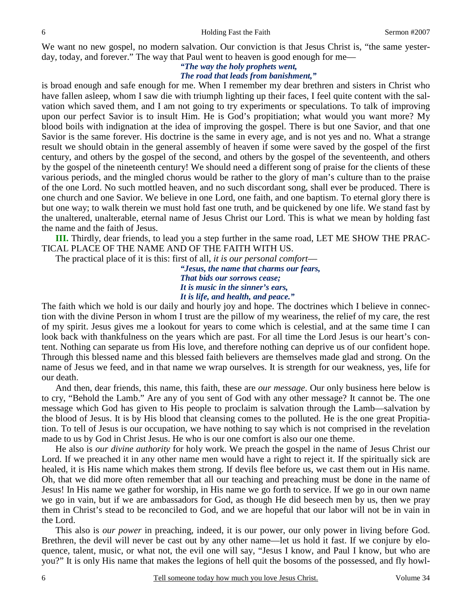We want no new gospel, no modern salvation. Our conviction is that Jesus Christ is, "the same yesterday, today, and forever." The way that Paul went to heaven is good enough for me—

### *"The way the holy prophets went, The road that leads from banishment,"*

is broad enough and safe enough for me. When I remember my dear brethren and sisters in Christ who have fallen asleep, whom I saw die with triumph lighting up their faces, I feel quite content with the salvation which saved them, and I am not going to try experiments or speculations. To talk of improving

upon our perfect Savior is to insult Him. He is God's propitiation; what would you want more? My blood boils with indignation at the idea of improving the gospel. There is but one Savior, and that one Savior is the same forever. His doctrine is the same in every age, and is not yes and no. What a strange result we should obtain in the general assembly of heaven if some were saved by the gospel of the first century, and others by the gospel of the second, and others by the gospel of the seventeenth, and others by the gospel of the nineteenth century! We should need a different song of praise for the clients of these various periods, and the mingled chorus would be rather to the glory of man's culture than to the praise of the one Lord. No such mottled heaven, and no such discordant song, shall ever be produced. There is one church and one Savior. We believe in one Lord, one faith, and one baptism. To eternal glory there is but one way; to walk therein we must hold fast one truth, and be quickened by one life. We stand fast by the unaltered, unalterable, eternal name of Jesus Christ our Lord. This is what we mean by holding fast the name and the faith of Jesus.

**III.** Thirdly, dear friends, to lead you a step further in the same road, LET ME SHOW THE PRAC-TICAL PLACE OF THE NAME AND OF THE FAITH WITH US.

The practical place of it is this: first of all, *it is our personal comfort*—

*"Jesus, the name that charms our fears, That bids our sorrows cease; It is music in the sinner's ears, It is life, and health, and peace."* 

The faith which we hold is our daily and hourly joy and hope. The doctrines which I believe in connection with the divine Person in whom I trust are the pillow of my weariness, the relief of my care, the rest of my spirit. Jesus gives me a lookout for years to come which is celestial, and at the same time I can look back with thankfulness on the years which are past. For all time the Lord Jesus is our heart's content. Nothing can separate us from His love, and therefore nothing can deprive us of our confident hope. Through this blessed name and this blessed faith believers are themselves made glad and strong. On the name of Jesus we feed, and in that name we wrap ourselves. It is strength for our weakness, yes, life for our death.

And then, dear friends, this name, this faith, these are *our message*. Our only business here below is to cry, "Behold the Lamb." Are any of you sent of God with any other message? It cannot be. The one message which God has given to His people to proclaim is salvation through the Lamb—salvation by the blood of Jesus. It is by His blood that cleansing comes to the polluted. He is the one great Propitiation. To tell of Jesus is our occupation, we have nothing to say which is not comprised in the revelation made to us by God in Christ Jesus. He who is our one comfort is also our one theme.

He also is *our divine authority* for holy work. We preach the gospel in the name of Jesus Christ our Lord. If we preached it in any other name men would have a right to reject it. If the spiritually sick are healed, it is His name which makes them strong. If devils flee before us, we cast them out in His name. Oh, that we did more often remember that all our teaching and preaching must be done in the name of Jesus! In His name we gather for worship, in His name we go forth to service. If we go in our own name we go in vain, but if we are ambassadors for God, as though He did beseech men by us, then we pray them in Christ's stead to be reconciled to God, and we are hopeful that our labor will not be in vain in the Lord.

This also is *our power* in preaching, indeed, it is our power, our only power in living before God. Brethren, the devil will never be cast out by any other name—let us hold it fast. If we conjure by eloquence, talent, music, or what not, the evil one will say, "Jesus I know, and Paul I know, but who are you?" It is only His name that makes the legions of hell quit the bosoms of the possessed, and fly howl-

6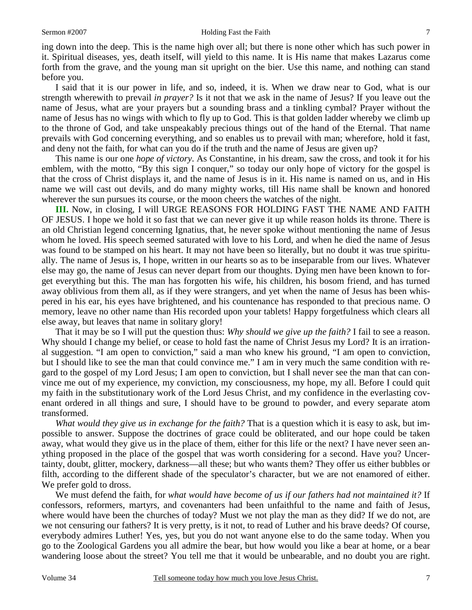ing down into the deep. This is the name high over all; but there is none other which has such power in it. Spiritual diseases, yes, death itself, will yield to this name. It is His name that makes Lazarus come forth from the grave, and the young man sit upright on the bier. Use this name, and nothing can stand before you.

I said that it is our power in life, and so, indeed, it is. When we draw near to God, what is our strength wherewith to prevail *in prayer?* Is it not that we ask in the name of Jesus? If you leave out the name of Jesus, what are your prayers but a sounding brass and a tinkling cymbal? Prayer without the name of Jesus has no wings with which to fly up to God. This is that golden ladder whereby we climb up to the throne of God, and take unspeakably precious things out of the hand of the Eternal. That name prevails with God concerning everything, and so enables us to prevail with man; wherefore, hold it fast, and deny not the faith, for what can you do if the truth and the name of Jesus are given up?

This name is our one *hope of victory*. As Constantine, in his dream, saw the cross, and took it for his emblem, with the motto, "By this sign I conquer," so today our only hope of victory for the gospel is that the cross of Christ displays it, and the name of Jesus is in it. His name is named on us, and in His name we will cast out devils, and do many mighty works, till His name shall be known and honored wherever the sun pursues its course, or the moon cheers the watches of the night.

**III.** Now, in closing, I will URGE REASONS FOR HOLDING FAST THE NAME AND FAITH OF JESUS. I hope we hold it so fast that we can never give it up while reason holds its throne. There is an old Christian legend concerning Ignatius, that, he never spoke without mentioning the name of Jesus whom he loved. His speech seemed saturated with love to his Lord, and when he died the name of Jesus was found to be stamped on his heart. It may not have been so literally, but no doubt it was true spiritually. The name of Jesus is, I hope, written in our hearts so as to be inseparable from our lives. Whatever else may go, the name of Jesus can never depart from our thoughts. Dying men have been known to forget everything but this. The man has forgotten his wife, his children, his bosom friend, and has turned away oblivious from them all, as if they were strangers, and yet when the name of Jesus has been whispered in his ear, his eyes have brightened, and his countenance has responded to that precious name. O memory, leave no other name than His recorded upon your tablets! Happy forgetfulness which clears all else away, but leaves that name in solitary glory!

That it may be so I will put the question thus: *Why should we give up the faith?* I fail to see a reason. Why should I change my belief, or cease to hold fast the name of Christ Jesus my Lord? It is an irrational suggestion. "I am open to conviction," said a man who knew his ground, "I am open to conviction, but I should like to see the man that could convince me." I am in very much the same condition with regard to the gospel of my Lord Jesus; I am open to conviction, but I shall never see the man that can convince me out of my experience, my conviction, my consciousness, my hope, my all. Before I could quit my faith in the substitutionary work of the Lord Jesus Christ, and my confidence in the everlasting covenant ordered in all things and sure, I should have to be ground to powder, and every separate atom transformed.

*What would they give us in exchange for the faith?* That is a question which it is easy to ask, but impossible to answer. Suppose the doctrines of grace could be obliterated, and our hope could be taken away, what would they give us in the place of them, either for this life or the next? I have never seen anything proposed in the place of the gospel that was worth considering for a second. Have you? Uncertainty, doubt, glitter, mockery, darkness—all these; but who wants them? They offer us either bubbles or filth, according to the different shade of the speculator's character, but we are not enamored of either. We prefer gold to dross.

We must defend the faith, for *what would have become of us if our fathers had not maintained it?* If confessors, reformers, martyrs, and covenanters had been unfaithful to the name and faith of Jesus, where would have been the churches of today? Must we not play the man as they did? If we do not, are we not censuring our fathers? It is very pretty, is it not, to read of Luther and his brave deeds? Of course, everybody admires Luther! Yes, yes, but you do not want anyone else to do the same today. When you go to the Zoological Gardens you all admire the bear, but how would you like a bear at home, or a bear wandering loose about the street? You tell me that it would be unbearable, and no doubt you are right.

7